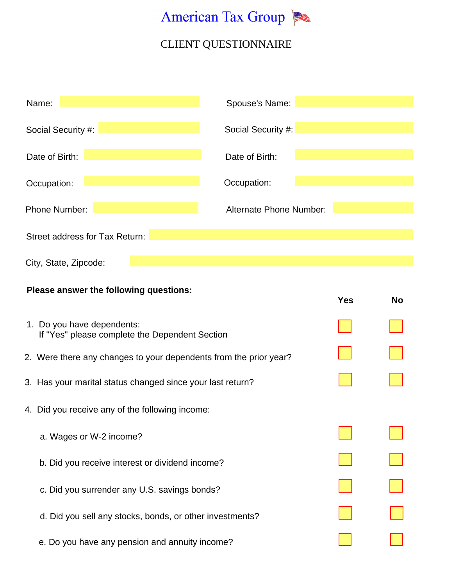

| Name:                                  | Spouse's Name:          |     |    |
|----------------------------------------|-------------------------|-----|----|
| Social Security #:                     | Social Security #:      |     |    |
| Date of Birth:                         | Date of Birth:          |     |    |
| Occupation:                            | Occupation:             |     |    |
| <b>Phone Number:</b>                   | Alternate Phone Number: |     |    |
| Street address for Tax Return:         |                         |     |    |
| City, State, Zipcode:                  |                         |     |    |
| Please answer the following questions: |                         | Yes | No |

| 1. Do you have dependents:<br>If "Yes" please complete the Dependent Section |  |
|------------------------------------------------------------------------------|--|
| 2. Were there any changes to your dependents from the prior year?            |  |
| 3. Has your marital status changed since your last return?                   |  |
| 4. Did you receive any of the following income:                              |  |
| a. Wages or W-2 income?                                                      |  |
| b. Did you receive interest or dividend income?                              |  |
| c. Did you surrender any U.S. savings bonds?                                 |  |
| d. Did you sell any stocks, bonds, or other investments?                     |  |
| e. Do you have any pension and annuity income?                               |  |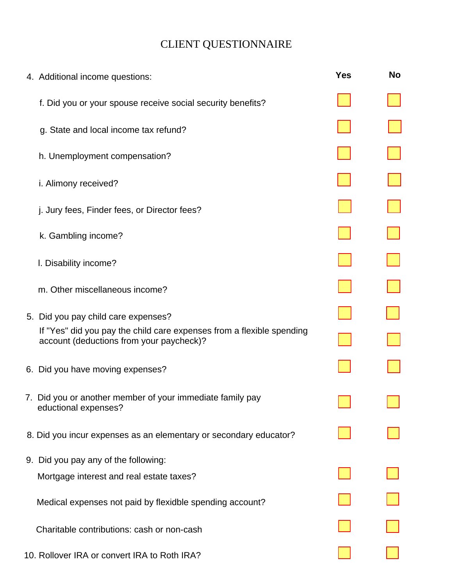| 4. Additional income questions:                                                                                   | <b>Yes</b> | <b>No</b> |
|-------------------------------------------------------------------------------------------------------------------|------------|-----------|
| f. Did you or your spouse receive social security benefits?                                                       |            |           |
| g. State and local income tax refund?                                                                             |            |           |
| h. Unemployment compensation?                                                                                     |            |           |
| i. Alimony received?                                                                                              |            |           |
| j. Jury fees, Finder fees, or Director fees?                                                                      |            |           |
| k. Gambling income?                                                                                               |            |           |
| I. Disability income?                                                                                             |            |           |
| m. Other miscellaneous income?                                                                                    |            |           |
| 5. Did you pay child care expenses?                                                                               |            |           |
| If "Yes" did you pay the child care expenses from a flexible spending<br>account (deductions from your paycheck)? |            |           |
| 6. Did you have moving expenses?                                                                                  |            |           |
| 7. Did you or another member of your immediate family pay<br>eductional expenses?                                 |            |           |
| 8. Did you incur expenses as an elementary or secondary educator?                                                 |            |           |
| 9. Did you pay any of the following:                                                                              |            |           |
| Mortgage interest and real estate taxes?                                                                          |            |           |
| Medical expenses not paid by flexidble spending account?                                                          |            |           |
| Charitable contributions: cash or non-cash                                                                        |            |           |
| 10. Rollover IRA or convert IRA to Roth IRA?                                                                      |            |           |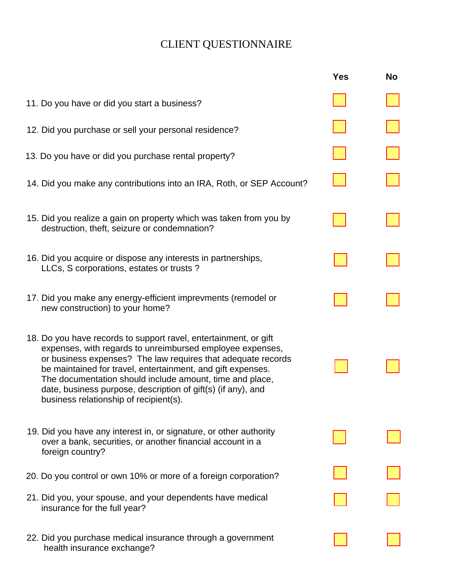|                                                                                                                                                                                                                                                                                                                                                                                                                                    | <b>Yes</b> | <b>No</b> |
|------------------------------------------------------------------------------------------------------------------------------------------------------------------------------------------------------------------------------------------------------------------------------------------------------------------------------------------------------------------------------------------------------------------------------------|------------|-----------|
| 11. Do you have or did you start a business?                                                                                                                                                                                                                                                                                                                                                                                       |            |           |
| 12. Did you purchase or sell your personal residence?                                                                                                                                                                                                                                                                                                                                                                              |            |           |
| 13. Do you have or did you purchase rental property?                                                                                                                                                                                                                                                                                                                                                                               |            |           |
| 14. Did you make any contributions into an IRA, Roth, or SEP Account?                                                                                                                                                                                                                                                                                                                                                              |            |           |
| 15. Did you realize a gain on property which was taken from you by<br>destruction, theft, seizure or condemnation?                                                                                                                                                                                                                                                                                                                 |            |           |
| 16. Did you acquire or dispose any interests in partnerships,<br>LLCs, S corporations, estates or trusts?                                                                                                                                                                                                                                                                                                                          |            |           |
| 17. Did you make any energy-efficient imprevments (remodel or<br>new construction) to your home?                                                                                                                                                                                                                                                                                                                                   |            |           |
| 18. Do you have records to support ravel, entertainment, or gift<br>expenses, with regards to unreimbursed employee expenses,<br>or business expenses? The law requires that adequate records<br>be maintained for travel, entertainment, and gift expenses.<br>The documentation should include amount, time and place,<br>date, business purpose, description of gift(s) (if any), and<br>business relationship of recipient(s). |            |           |
| 19. Did you have any interest in, or signature, or other authority<br>over a bank, securities, or another financial account in a<br>foreign country?                                                                                                                                                                                                                                                                               |            |           |
| 20. Do you control or own 10% or more of a foreign corporation?                                                                                                                                                                                                                                                                                                                                                                    |            |           |
| 21. Did you, your spouse, and your dependents have medical<br>insurance for the full year?                                                                                                                                                                                                                                                                                                                                         |            |           |
| 22. Did you purchase medical insurance through a government<br>health insurance exchange?                                                                                                                                                                                                                                                                                                                                          |            |           |